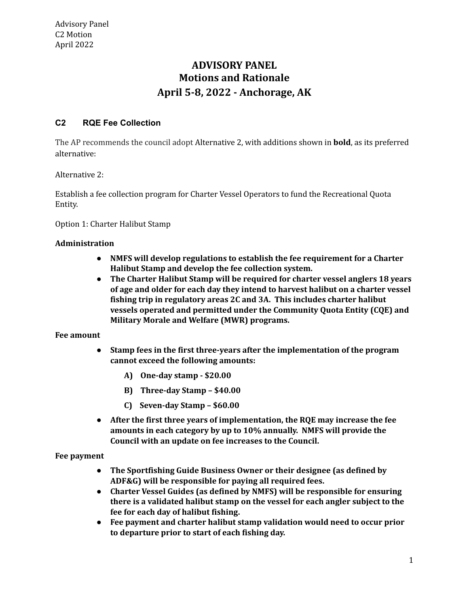# **Motions and Rationale April 5-8, 2022 - Anchorage, AK ADVISORY PANEL**

## **C2 RQE Fee Collection**

 The AP recommends the council adopt Alternative 2, with additions shown in **bold**, as its preferred alternative:

Alternative 2:

 Establish a fee collection program for Charter Vessel Operators to fund the Recreational Quota Entity.

Option 1: Charter Halibut Stamp

### **Administration**

- **● NMFS will develop regulations to establish the fee requirement for a Charter Halibut Stamp and develop the fee collection system.**
- **● The Charter Halibut Stamp will be required for charter vessel anglers 18 years of age and older for each day they intend to harvest halibut on a charter vessel fishing trip in regulatory areas 2C and 3A. This includes charter halibut vessels operated and permitted under the Community Quota Entity (CQE) and Military Morale and Welfare (MWR) programs.**

### **Fee amount**

- **● Stamp fees in the first three-years after the implementation of the program cannot exceed the following amounts:**
	- **A) One-day stamp \$20.00**
	- **B) Three-day Stamp – \$40.00**
	- **C) Seven-day Stamp – \$60.00**
- **● After the first three years of implementation, the RQE may increase the fee amounts in each category by up to 10% annually. NMFS will provide the Council with an update on fee increases to the Council.**

### **Fee payment**

- **● The Sportfishing Guide Business Owner or their designee (as defined by ADF&G) will be responsible for paying all required fees.**
- **● Charter Vessel Guides (as defined by NMFS) will be responsible for ensuring there is a validated halibut stamp on the vessel for each angler subject to the fee for each day of halibut fishing.**
- **● Fee payment and charter halibut stamp validation would need to occur prior to departure prior to start of each fishing day.**